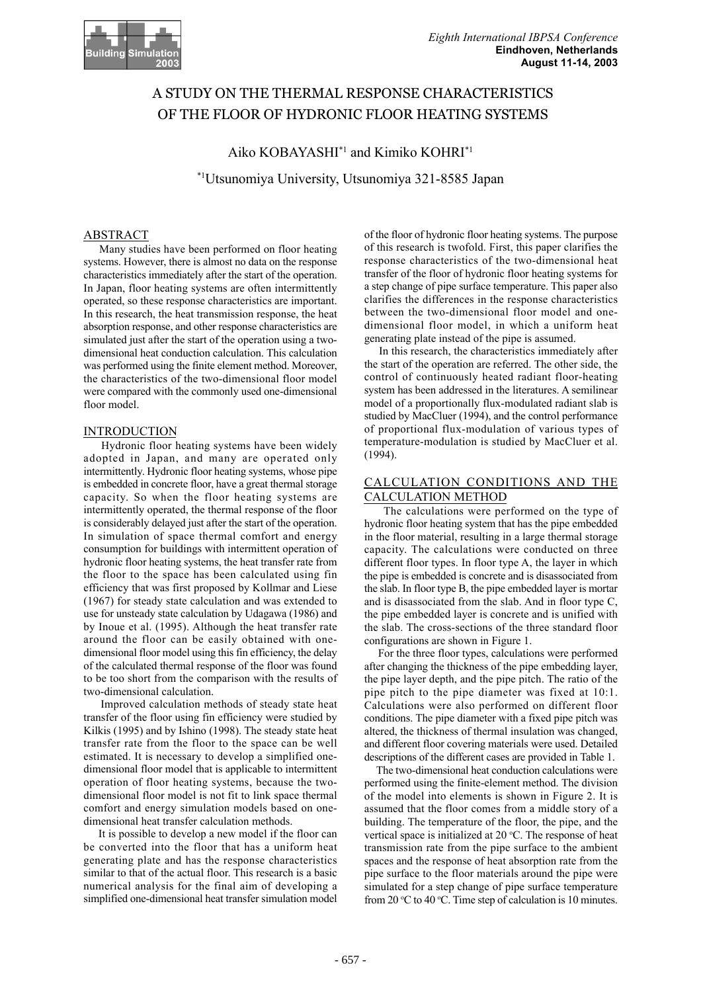

# A STUDY ON THE THERMAL RESPONSE CHARACTERISTICS OF THE FLOOR OF HYDRONIC FLOOR HEATING SYSTEMS

# Aiko KOBAYASHI\*1 and Kimiko KOHRI\*1

\*1Utsunomiya University, Utsunomiya 321-8585 Japan

# ABSTRACT

 Many studies have been performed on floor heating systems. However, there is almost no data on the response characteristics immediately after the start of the operation. In Japan, floor heating systems are often intermittently operated, so these response characteristics are important. In this research, the heat transmission response, the heat absorption response, and other response characteristics are simulated just after the start of the operation using a twodimensional heat conduction calculation. This calculation was performed using the finite element method. Moreover, the characteristics of the two-dimensional floor model were compared with the commonly used one-dimensional floor model.

## INTRODUCTION

 Hydronic floor heating systems have been widely adopted in Japan, and many are operated only intermittently. Hydronic floor heating systems, whose pipe is embedded in concrete floor, have a great thermal storage capacity. So when the floor heating systems are intermittently operated, the thermal response of the floor is considerably delayed just after the start of the operation. In simulation of space thermal comfort and energy consumption for buildings with intermittent operation of hydronic floor heating systems, the heat transfer rate from the floor to the space has been calculated using fin efficiency that was first proposed by Kollmar and Liese (1967) for steady state calculation and was extended to use for unsteady state calculation by Udagawa (1986) and by Inoue et al. (1995). Although the heat transfer rate around the floor can be easily obtained with onedimensional floor model using this fin efficiency, the delay of the calculated thermal response of the floor was found to be too short from the comparison with the results of two-dimensional calculation.

 Improved calculation methods of steady state heat transfer of the floor using fin efficiency were studied by Kilkis (1995) and by Ishino (1998). The steady state heat transfer rate from the floor to the space can be well estimated. It is necessary to develop a simplified onedimensional floor model that is applicable to intermittent operation of floor heating systems, because the twodimensional floor model is not fit to link space thermal comfort and energy simulation models based on onedimensional heat transfer calculation methods.

 It is possible to develop a new model if the floor can be converted into the floor that has a uniform heat generating plate and has the response characteristics similar to that of the actual floor. This research is a basic numerical analysis for the final aim of developing a simplified one-dimensional heat transfer simulation model of the floor of hydronic floor heating systems. The purpose of this research is twofold. First, this paper clarifies the response characteristics of the two-dimensional heat transfer of the floor of hydronic floor heating systems for a step change of pipe surface temperature. This paper also clarifies the differences in the response characteristics between the two-dimensional floor model and onedimensional floor model, in which a uniform heat generating plate instead of the pipe is assumed.

 In this research, the characteristics immediately after the start of the operation are referred. The other side, the control of continuously heated radiant floor-heating system has been addressed in the literatures. A semilinear model of a proportionally flux-modulated radiant slab is studied by MacCluer (1994), and the control performance of proportional flux-modulation of various types of temperature-modulation is studied by MacCluer et al. (1994).

## CALCULATION CONDITIONS AND THE CALCULATION METHOD

 The calculations were performed on the type of hydronic floor heating system that has the pipe embedded in the floor material, resulting in a large thermal storage capacity. The calculations were conducted on three different floor types. In floor type A, the layer in which the pipe is embedded is concrete and is disassociated from the slab. In floor type B, the pipe embedded layer is mortar and is disassociated from the slab. And in floor type C, the pipe embedded layer is concrete and is unified with the slab. The cross-sections of the three standard floor configurations are shown in Figure 1.

 For the three floor types, calculations were performed after changing the thickness of the pipe embedding layer, the pipe layer depth, and the pipe pitch. The ratio of the pipe pitch to the pipe diameter was fixed at 10:1. Calculations were also performed on different floor conditions. The pipe diameter with a fixed pipe pitch was altered, the thickness of thermal insulation was changed, and different floor covering materials were used. Detailed descriptions of the different cases are provided in Table 1.

 The two-dimensional heat conduction calculations were performed using the finite-element method. The division of the model into elements is shown in Figure 2. It is assumed that the floor comes from a middle story of a building. The temperature of the floor, the pipe, and the vertical space is initialized at  $20^{\circ}$ C. The response of heat transmission rate from the pipe surface to the ambient spaces and the response of heat absorption rate from the pipe surface to the floor materials around the pipe were simulated for a step change of pipe surface temperature from 20  $\rm{°C}$  to 40  $\rm{°C}$ . Time step of calculation is 10 minutes.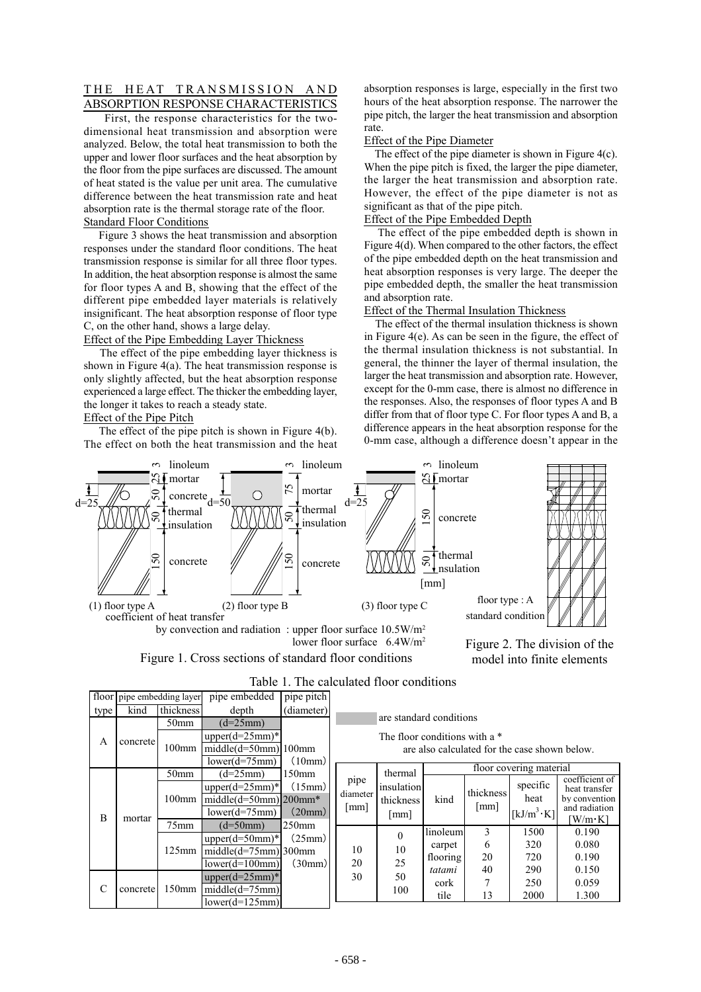## THE HEAT TRANSMISSION AND ABSORPTION RESPONSE CHARACTERISTICS

 First, the response characteristics for the twodimensional heat transmission and absorption were analyzed. Below, the total heat transmission to both the upper and lower floor surfaces and the heat absorption by the floor from the pipe surfaces are discussed. The amount of heat stated is the value per unit area. The cumulative difference between the heat transmission rate and heat absorption rate is the thermal storage rate of the floor. Standard Floor Conditions

 Figure 3 shows the heat transmission and absorption responses under the standard floor conditions. The heat transmission response is similar for all three floor types. In addition, the heat absorption response is almost the same for floor types A and B, showing that the effect of the different pipe embedded layer materials is relatively insignificant. The heat absorption response of floor type C, on the other hand, shows a large delay.

## Effect of the Pipe Embedding Layer Thickness

 The effect of the pipe embedding layer thickness is shown in Figure 4(a). The heat transmission response is only slightly affected, but the heat absorption response experienced a large effect. The thicker the embedding layer, the longer it takes to reach a steady state.

# Effect of the Pipe Pitch

The effect of the pipe pitch is shown in Figure 4(b). The effect on both the heat transmission and the heat absorption responses is large, especially in the first two hours of the heat absorption response. The narrower the pipe pitch, the larger the heat transmission and absorption rate.

#### Effect of the Pipe Diameter

 The effect of the pipe diameter is shown in Figure 4(c). When the pipe pitch is fixed, the larger the pipe diameter, the larger the heat transmission and absorption rate. However, the effect of the pipe diameter is not as significant as that of the pipe pitch.

## Effect of the Pipe Embedded Depth

 The effect of the pipe embedded depth is shown in Figure 4(d). When compared to the other factors, the effect of the pipe embedded depth on the heat transmission and heat absorption responses is very large. The deeper the pipe embedded depth, the smaller the heat transmission and absorption rate.

### Effect of the Thermal Insulation Thickness

 The effect of the thermal insulation thickness is shown in Figure 4(e). As can be seen in the figure, the effect of the thermal insulation thickness is not substantial. In general, the thinner the layer of thermal insulation, the larger the heat transmission and absorption rate. However, except for the 0-mm case, there is almost no difference in the responses. Also, the responses of floor types A and B differ from that of floor type C. For floor types A and B, a difference appears in the heat absorption response for the 0-mm case, although a difference doesn't appear in the



Figure 1. Cross sections of standard floor conditions by convection and radiation : upper floor surface  $10.5W/m^2$ lower floor surface 6.4W/m<sup>2</sup>



| Table 1. The calculated Hool conditions |                            |                  |                                                                    |                              |                                                                                                             |                                            |          |                   |                                                                   |                                                 |
|-----------------------------------------|----------------------------|------------------|--------------------------------------------------------------------|------------------------------|-------------------------------------------------------------------------------------------------------------|--------------------------------------------|----------|-------------------|-------------------------------------------------------------------|-------------------------------------------------|
|                                         | floor pipe embedding layer |                  | pipe embedded                                                      | pipe pitch                   |                                                                                                             |                                            |          |                   |                                                                   |                                                 |
| type                                    | kind                       | thickness        | depth                                                              | (diameter)                   | are standard conditions<br>The floor conditions with a $*$<br>are also calculated for the case shown below. |                                            |          |                   |                                                                   |                                                 |
| A                                       | concrete                   | 50 <sub>mm</sub> | $(d=25mm)$                                                         |                              |                                                                                                             |                                            |          |                   |                                                                   |                                                 |
|                                         |                            | $100$ mm         | upper $(d=25$ mm $)*$                                              | (10mm)                       |                                                                                                             |                                            |          |                   |                                                                   |                                                 |
|                                         |                            |                  | $middle(d=50mm)$ 100mm                                             |                              |                                                                                                             |                                            |          |                   |                                                                   |                                                 |
|                                         |                            |                  | $lower(d=75mm)$                                                    |                              | floor covering material                                                                                     |                                            |          |                   |                                                                   |                                                 |
| B                                       | mortar                     | 50 <sub>mm</sub> | $(d=25mm)$                                                         | 150mm                        | pipe<br>diameter<br>[mm]                                                                                    | thermal<br>insulation<br>thickness<br>[mm] |          |                   |                                                                   | coefficient of                                  |
|                                         |                            | $100$ mm         | upper $(d=25$ mm $)*$<br>$midde(d=50mm) 200mm*$<br>$lower(d=75mm)$ | (15mm)<br>(20mm)             |                                                                                                             |                                            | kind     | thickness<br>[mm] | specific<br>heat<br>$\left[\mathrm{kJ/m}^3\cdot\mathrm{K}\right]$ | heat transfer<br>by convention<br>and radiation |
|                                         |                            | $75$ mm          | $(d=50mm)$                                                         | $250$ mm<br>(25mm)<br>(30mm) |                                                                                                             |                                            |          |                   |                                                                   | [W/m∙K]                                         |
|                                         |                            | 125mm            | $upper(d=50mm)*$                                                   |                              | 10                                                                                                          | $\theta$                                   | linoleum | 3                 | 1500                                                              | 0.190                                           |
|                                         |                            |                  | $middle(d=75mm)$ 300mm                                             |                              |                                                                                                             | 10<br>25<br>50<br>100                      | carpet   | 6                 | 320                                                               | 0.080                                           |
|                                         |                            |                  | $lower(d=100mm)$                                                   |                              | 20                                                                                                          |                                            | flooring | 20                | 720                                                               | 0.190                                           |
| C                                       | concrete                   | $150$ mm         |                                                                    |                              | 30                                                                                                          |                                            | tatami   | 40                | 290                                                               | 0.150                                           |
|                                         |                            |                  | upper $(d=25$ mm $)*$                                              |                              |                                                                                                             |                                            | cork     |                   | 250                                                               | 0.059                                           |
|                                         |                            |                  | $middle(d=75mm)$                                                   |                              |                                                                                                             |                                            | tile     | 13                | 2000                                                              | 1.300                                           |
|                                         |                            |                  | $lower(d=125mm)$                                                   |                              |                                                                                                             |                                            |          |                   |                                                                   |                                                 |

# Table 1. The calculated floor conditions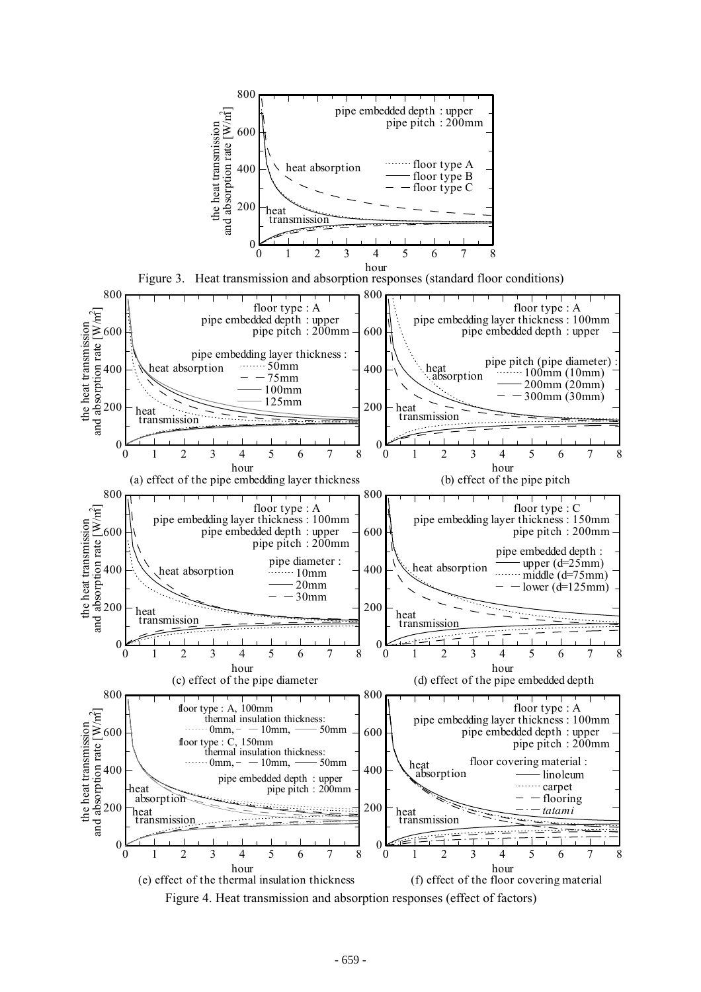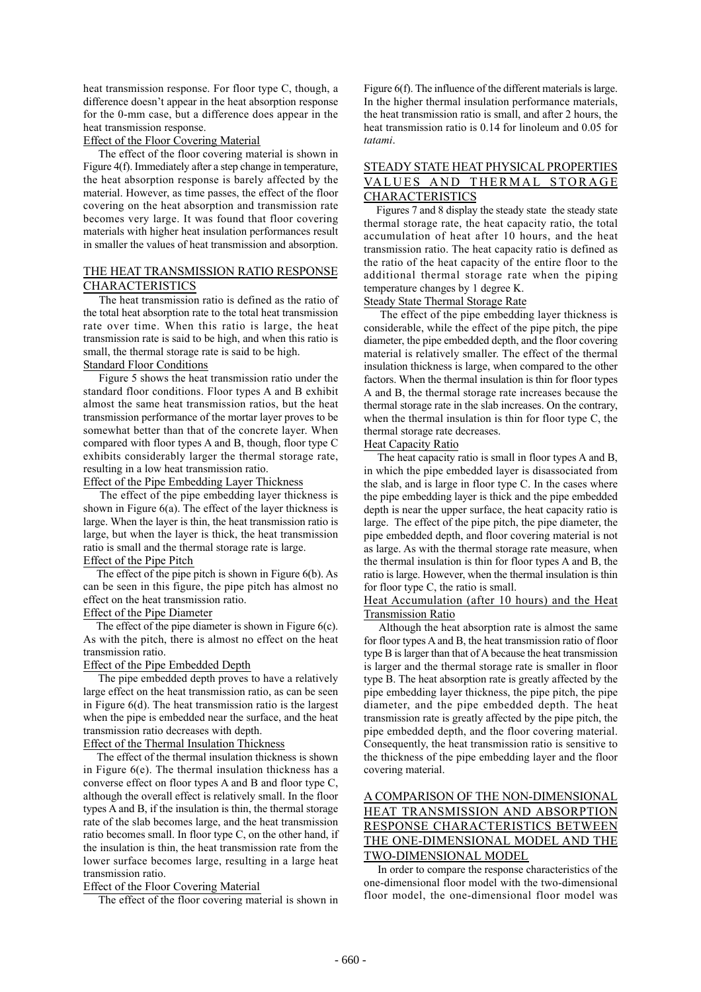heat transmission response. For floor type C, though, a difference doesn't appear in the heat absorption response for the 0-mm case, but a difference does appear in the heat transmission response.

Effect of the Floor Covering Material

 The effect of the floor covering material is shown in Figure 4(f). Immediately after a step change in temperature, the heat absorption response is barely affected by the material. However, as time passes, the effect of the floor covering on the heat absorption and transmission rate becomes very large. It was found that floor covering materials with higher heat insulation performances result in smaller the values of heat transmission and absorption.

### THE HEAT TRANSMISSION RATIO RESPONSE CHARACTERISTICS

 The heat transmission ratio is defined as the ratio of the total heat absorption rate to the total heat transmission rate over time. When this ratio is large, the heat transmission rate is said to be high, and when this ratio is small, the thermal storage rate is said to be high.

# Standard Floor Conditions

 Figure 5 shows the heat transmission ratio under the standard floor conditions. Floor types A and B exhibit almost the same heat transmission ratios, but the heat transmission performance of the mortar layer proves to be somewhat better than that of the concrete layer. When compared with floor types A and B, though, floor type C exhibits considerably larger the thermal storage rate, resulting in a low heat transmission ratio.

### Effect of the Pipe Embedding Layer Thickness

 The effect of the pipe embedding layer thickness is shown in Figure 6(a). The effect of the layer thickness is large. When the layer is thin, the heat transmission ratio is large, but when the layer is thick, the heat transmission ratio is small and the thermal storage rate is large.

# Effect of the Pipe Pitch

 The effect of the pipe pitch is shown in Figure 6(b). As can be seen in this figure, the pipe pitch has almost no effect on the heat transmission ratio.

# Effect of the Pipe Diameter

The effect of the pipe diameter is shown in Figure 6(c). As with the pitch, there is almost no effect on the heat transmission ratio.

#### Effect of the Pipe Embedded Depth

 The pipe embedded depth proves to have a relatively large effect on the heat transmission ratio, as can be seen in Figure 6(d). The heat transmission ratio is the largest when the pipe is embedded near the surface, and the heat transmission ratio decreases with depth.

# Effect of the Thermal Insulation Thickness

 The effect of the thermal insulation thickness is shown in Figure 6(e). The thermal insulation thickness has a converse effect on floor types A and B and floor type C, although the overall effect is relatively small. In the floor types A and B, if the insulation is thin, the thermal storage rate of the slab becomes large, and the heat transmission ratio becomes small. In floor type C, on the other hand, if the insulation is thin, the heat transmission rate from the lower surface becomes large, resulting in a large heat transmission ratio.

#### Effect of the Floor Covering Material

The effect of the floor covering material is shown in

Figure 6(f). The influence of the different materials is large. In the higher thermal insulation performance materials, the heat transmission ratio is small, and after 2 hours, the heat transmission ratio is 0.14 for linoleum and 0.05 for *tatami*.

# STEADY STATE HEAT PHYSICAL PROPERTIES VALUES AND THERMAL STORAGE CHARACTERISTICS

 Figures 7 and 8 display the steady state the steady state thermal storage rate, the heat capacity ratio, the total accumulation of heat after 10 hours, and the heat transmission ratio. The heat capacity ratio is defined as the ratio of the heat capacity of the entire floor to the additional thermal storage rate when the piping temperature changes by 1 degree K.

# Steady State Thermal Storage Rate

 The effect of the pipe embedding layer thickness is considerable, while the effect of the pipe pitch, the pipe diameter, the pipe embedded depth, and the floor covering material is relatively smaller. The effect of the thermal insulation thickness is large, when compared to the other factors. When the thermal insulation is thin for floor types A and B, the thermal storage rate increases because the thermal storage rate in the slab increases. On the contrary, when the thermal insulation is thin for floor type C, the thermal storage rate decreases.

### Heat Capacity Ratio

 The heat capacity ratio is small in floor types A and B, in which the pipe embedded layer is disassociated from the slab, and is large in floor type C. In the cases where the pipe embedding layer is thick and the pipe embedded depth is near the upper surface, the heat capacity ratio is large. The effect of the pipe pitch, the pipe diameter, the pipe embedded depth, and floor covering material is not as large. As with the thermal storage rate measure, when the thermal insulation is thin for floor types A and B, the ratio is large. However, when the thermal insulation is thin for floor type C, the ratio is small.

### Heat Accumulation (after 10 hours) and the Heat Transmission Ratio

 Although the heat absorption rate is almost the same for floor types A and B, the heat transmission ratio of floor type B is larger than that of A because the heat transmission is larger and the thermal storage rate is smaller in floor type B. The heat absorption rate is greatly affected by the pipe embedding layer thickness, the pipe pitch, the pipe diameter, and the pipe embedded depth. The heat transmission rate is greatly affected by the pipe pitch, the pipe embedded depth, and the floor covering material. Consequently, the heat transmission ratio is sensitive to the thickness of the pipe embedding layer and the floor covering material.

# A COMPARISON OF THE NON-DIMENSIONAL HEAT TRANSMISSION AND ABSORPTION RESPONSE CHARACTERISTICS BETWEEN THE ONE-DIMENSIONAL MODEL AND THE TWO-DIMENSIONAL MODEL

 In order to compare the response characteristics of the one-dimensional floor model with the two-dimensional floor model, the one-dimensional floor model was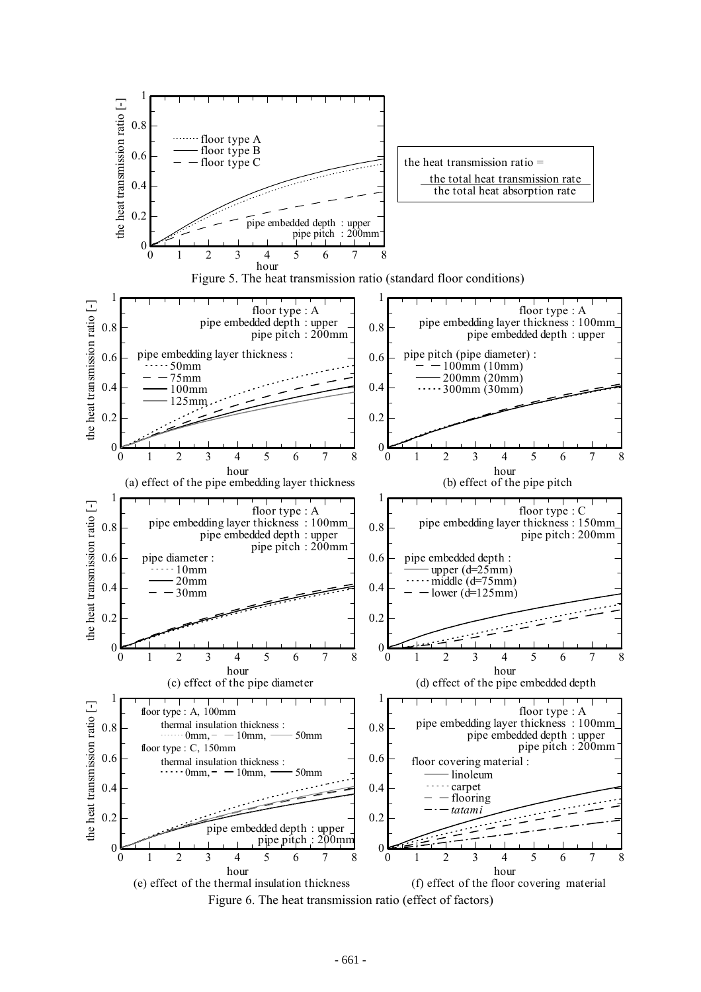

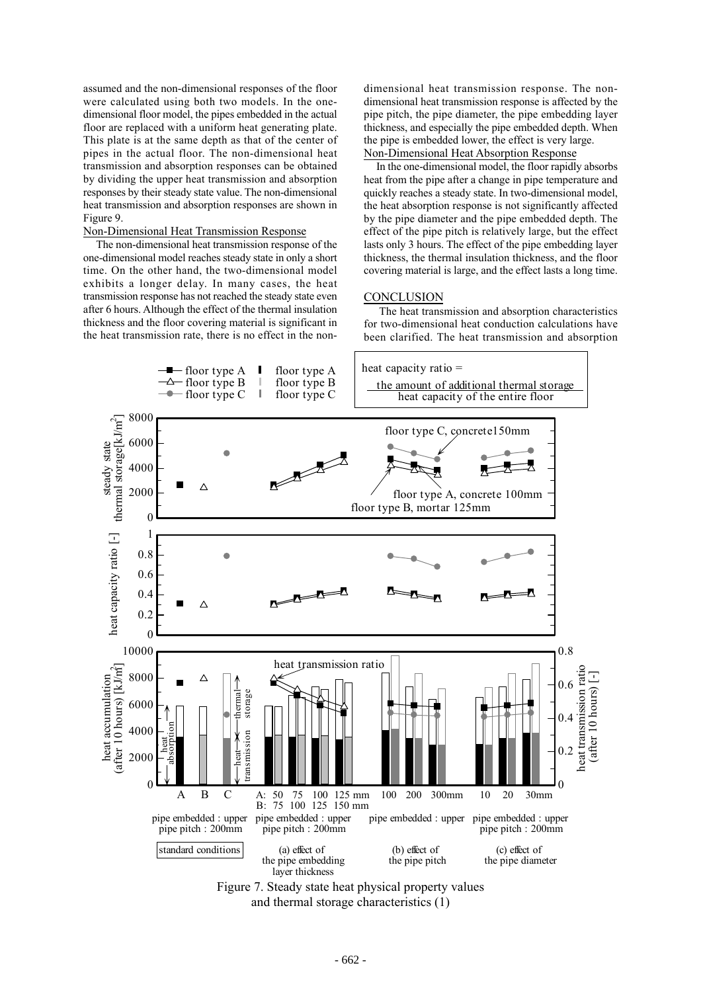assumed and the non-dimensional responses of the floor were calculated using both two models. In the onedimensional floor model, the pipes embedded in the actual floor are replaced with a uniform heat generating plate. This plate is at the same depth as that of the center of pipes in the actual floor. The non-dimensional heat transmission and absorption responses can be obtained by dividing the upper heat transmission and absorption responses by their steady state value. The non-dimensional heat transmission and absorption responses are shown in Figure 9.

### Non-Dimensional Heat Transmission Response

 The non-dimensional heat transmission response of the one-dimensional model reaches steady state in only a short time. On the other hand, the two-dimensional model exhibits a longer delay. In many cases, the heat transmission response has not reached the steady state even after 6 hours. Although the effect of the thermal insulation thickness and the floor covering material is significant in the heat transmission rate, there is no effect in the nondimensional heat transmission response. The nondimensional heat transmission response is affected by the pipe pitch, the pipe diameter, the pipe embedding layer thickness, and especially the pipe embedded depth. When the pipe is embedded lower, the effect is very large. Non-Dimensional Heat Absorption Response

 In the one-dimensional model, the floor rapidly absorbs heat from the pipe after a change in pipe temperature and quickly reaches a steady state. In two-dimensional model, the heat absorption response is not significantly affected by the pipe diameter and the pipe embedded depth. The effect of the pipe pitch is relatively large, but the effect lasts only 3 hours. The effect of the pipe embedding layer thickness, the thermal insulation thickness, and the floor covering material is large, and the effect lasts a long time.

#### **CONCLUSION**

 The heat transmission and absorption characteristics for two-dimensional heat conduction calculations have been clarified. The heat transmission and absorption



and thermal storage characteristics (1)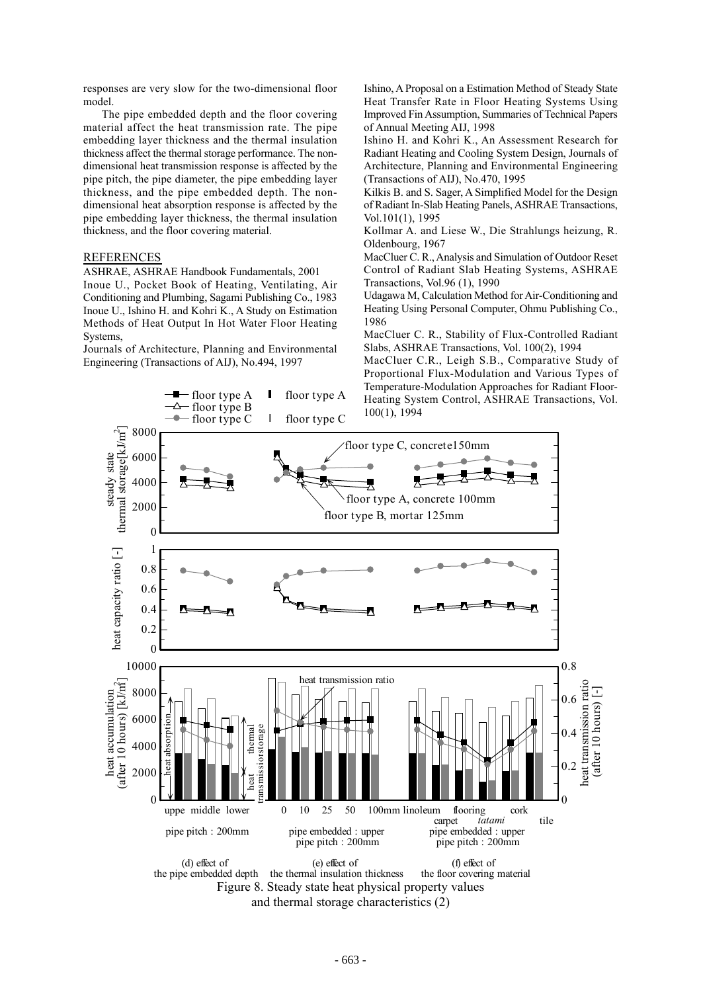responses are very slow for the two-dimensional floor model.

 The pipe embedded depth and the floor covering material affect the heat transmission rate. The pipe embedding layer thickness and the thermal insulation thickness affect the thermal storage performance. The nondimensional heat transmission response is affected by the pipe pitch, the pipe diameter, the pipe embedding layer thickness, and the pipe embedded depth. The nondimensional heat absorption response is affected by the pipe embedding layer thickness, the thermal insulation thickness, and the floor covering material.

### REFERENCES

ASHRAE, ASHRAE Handbook Fundamentals, 2001 Inoue U., Pocket Book of Heating, Ventilating, Air Conditioning and Plumbing, Sagami Publishing Co., 1983 Inoue U., Ishino H. and Kohri K., A Study on Estimation Methods of Heat Output In Hot Water Floor Heating Systems,

Journals of Architecture, Planning and Environmental Engineering (Transactions of AIJ), No.494, 1997

floor type A

Ishino, A Proposal on a Estimation Method of Steady State Heat Transfer Rate in Floor Heating Systems Using Improved Fin Assumption, Summaries of Technical Papers of Annual Meeting AIJ, 1998

Ishino H. and Kohri K., An Assessment Research for Radiant Heating and Cooling System Design, Journals of Architecture, Planning and Environmental Engineering (Transactions of AIJ), No.470, 1995

Kilkis B. and S. Sager, A Simplified Model for the Design of Radiant In-Slab Heating Panels, ASHRAE Transactions, Vol.101(1), 1995

Kollmar A. and Liese W., Die Strahlungs heizung, R. Oldenbourg, 1967

MacCluer C. R., Analysis and Simulation of Outdoor Reset Control of Radiant Slab Heating Systems, ASHRAE Transactions, Vol.96 (1), 1990

Udagawa M, Calculation Method for Air-Conditioning and Heating Using Personal Computer, Ohmu Publishing Co., 1986

MacCluer C. R., Stability of Flux-Controlled Radiant Slabs, ASHRAE Transactions, Vol. 100(2), 1994

MacCluer C.R., Leigh S.B., Comparative Study of Proportional Flux-Modulation and Various Types of Temperature-Modulation Approaches for Radiant Floor-Heating System Control, ASHRAE Transactions, Vol. 100(1), 1994



floor type A